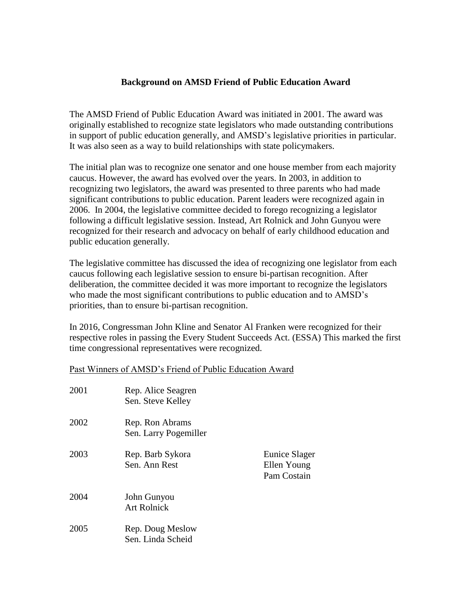## **Background on AMSD Friend of Public Education Award**

The AMSD Friend of Public Education Award was initiated in 2001. The award was originally established to recognize state legislators who made outstanding contributions in support of public education generally, and AMSD's legislative priorities in particular. It was also seen as a way to build relationships with state policymakers.

The initial plan was to recognize one senator and one house member from each majority caucus. However, the award has evolved over the years. In 2003, in addition to recognizing two legislators, the award was presented to three parents who had made significant contributions to public education. Parent leaders were recognized again in 2006. In 2004, the legislative committee decided to forego recognizing a legislator following a difficult legislative session. Instead, Art Rolnick and John Gunyou were recognized for their research and advocacy on behalf of early childhood education and public education generally.

The legislative committee has discussed the idea of recognizing one legislator from each caucus following each legislative session to ensure bi-partisan recognition. After deliberation, the committee decided it was more important to recognize the legislators who made the most significant contributions to public education and to AMSD's priorities, than to ensure bi-partisan recognition.

In 2016, Congressman John Kline and Senator Al Franken were recognized for their respective roles in passing the Every Student Succeeds Act. (ESSA) This marked the first time congressional representatives were recognized.

## Past Winners of AMSD's Friend of Public Education Award

| 2001 | Rep. Alice Seagren<br>Sen. Steve Kelley  |                                             |
|------|------------------------------------------|---------------------------------------------|
| 2002 | Rep. Ron Abrams<br>Sen. Larry Pogemiller |                                             |
| 2003 | Rep. Barb Sykora<br>Sen. Ann Rest        | Eunice Slager<br>Ellen Young<br>Pam Costain |
| 2004 | John Gunyou<br><b>Art Rolnick</b>        |                                             |
| 2005 | Rep. Doug Meslow<br>Sen. Linda Scheid    |                                             |